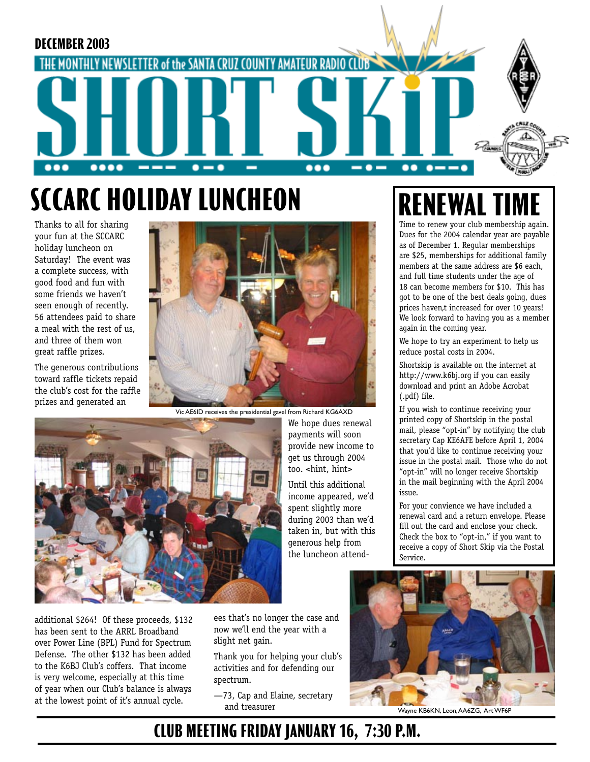

# **SCCARC HOLIDAY LUNCHEON RENEWA**

Thanks to all for sharing your fun at the SCCARC holiday luncheon on Saturday! The event was a complete success, with good food and fun with some friends we haven't seen enough of recently. 56 attendees paid to share a meal with the rest of us, and three of them won great raffle prizes.

The generous contributions toward raffle tickets repaid the club's cost for the raffle prizes and generated an



Vic AE6ID receives the presidential gavel from Richard KG6AXD

We hope dues renewal payments will soon provide new income to get us through 2004 too. <hint, hint> Until this additional income appeared, we'd spent slightly more during 2003 than we'd taken in, but with this generous help from the luncheon attend-



additional \$264! Of these proceeds, \$132 has been sent to the ARRL Broadband over Power Line (BPL) Fund for Spectrum Defense. The other \$132 has been added to the K6BJ Club's coffers. That income is very welcome, especially at this time of year when our Club's balance is always at the lowest point of it's annual cycle.

ees that's no longer the case and now we'll end the year with a slight net gain.

Thank you for helping your club's activities and for defending our spectrum.

—73, Cap and Elaine, secretary and treasurer Wayne KB6KN, Leon, AA6ZG, Art WF6P



Time to renew your club membership again. Dues for the 2004 calendar year are payable as of December 1. Regular memberships are \$25, memberships for additional family members at the same address are \$6 each, and full time students under the age of 18 can become members for \$10. This has got to be one of the best deals going, dues prices haven,t increased for over 10 years! We look forward to having you as a member again in the coming year.

We hope to try an experiment to help us reduce postal costs in 2004.

Shortskip is available on the internet at http://www.k6bj.org if you can easily download and print an Adobe Acrobat (.pdf) file.

If you wish to continue receiving your printed copy of Shortskip in the postal mail, please "opt-in" by notifying the club secretary Cap KE6AFE before April 1, 2004 that you'd like to continue receiving your issue in the postal mail. Those who do not "opt-in" will no longer receive Shortskip in the mail beginning with the April 2004 issue.

For your convience we have included a renewal card and a return envelope. Please fill out the card and enclose your check. Check the box to "opt-in," if you want to receive a copy of Short Skip via the Postal Service.

**CLUB MEETING FRIDAY JANUARY 16, 7:30 P.M.**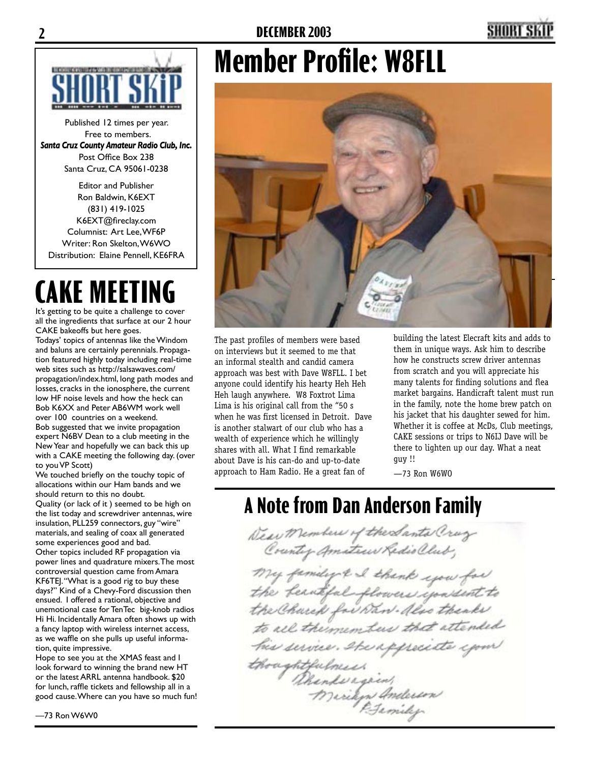

Published 12 times per year. Free to members. *Santa Cruz County Amateur Radio Club, Inc.* Post Office Box 238 Santa Cruz, CA 95061-0238

Editor and Publisher Ron Baldwin, K6EXT (831) 419-1025 K6EXT@fireclay.com Columnist: Art Lee, WF6P Writer: Ron Skelton, W6WO Distribution: Elaine Pennell, KE6FRA

# **CAKE MEETING**

It's getting to be quite a challenge to cover all the ingredients that surface at our 2 hour CAKE bakeoffs but here goes. Todays' topics of antennas like the Windom and baluns are certainly perennials. Propagation featured highly today including real-time web sites such as http://salsawaves.com/ propagation/index.html, long path modes and losses, cracks in the ionosphere, the current low HF noise levels and how the heck can Bob K6XX and Peter AB6WM work well over 100 countries on a weekend. Bob suggested that we invite propagation expert N6BV Dean to a club meeting in the New Year and hopefully we can back this up with a CAKE meeting the following day. (over to you VP Scott)

We touched briefly on the touchy topic of allocations within our Ham bands and we should return to this no doubt. Quality (or lack of it ) seemed to be high on the list today and screwdriver antennas, wire insulation, PLL259 connectors, guy "wire" materials, and sealing of coax all generated some experiences good and bad. Other topics included RF propagation via power lines and quadrature mixers. The most controversial question came from Amara KF6TEJ. "What is a good rig to buy these days?" Kind of a Chevy-Ford discussion then ensued. I offered a rational, objective and unemotional case for TenTec big-knob radios Hi Hi. Incidentally Amara often shows up with a fancy laptop with wireless internet access, as we waffle on she pulls up useful information, quite impressive.

Hope to see you at the XMAS feast and I look forward to winning the brand new HT or the latest ARRL antenna handbook. \$20 for lunch, raffle tickets and fellowship all in a good cause. Where can you have so much fun!

# **Member Profile: W8FLL**



The past profiles of members were based on interviews but it seemed to me that an informal stealth and candid camera approach was best with Dave W8FLL. I bet anyone could identify his hearty Heh Heh Heh laugh anywhere. W8 Foxtrot Lima Lima is his original call from the "50 s when he was first licensed in Detroit. Dave is another stalwart of our club who has a wealth of experience which he willingly shares with all. What I find remarkable about Dave is his can-do and up-to-date approach to Ham Radio. He a great fan of

building the latest Elecraft kits and adds to them in unique ways. Ask him to describe how he constructs screw driver antennas from scratch and you will appreciate his many talents for finding solutions and flea market bargains. Handicraft talent must run in the family, note the home brew patch on his jacket that his daughter sewed for him. Whether it is coffee at McDs, Club meetings, CAKE sessions or trips to N6IJ Dave will be there to lighten up our day. What a neat guy !!

—73 Ron W6WO

## **A Note from Dan Anderson Family**

Dear Members of the Santa Craz My family & I thank you for<br>the berutifal plowers spondent to<br>the Church for Naw . Also thenks to all the members that attended his service, spenggrecid<br>thoughtfulmess<br>Denkergin,<br>Mirikys Anderson<br>Bemily his service. stapped to your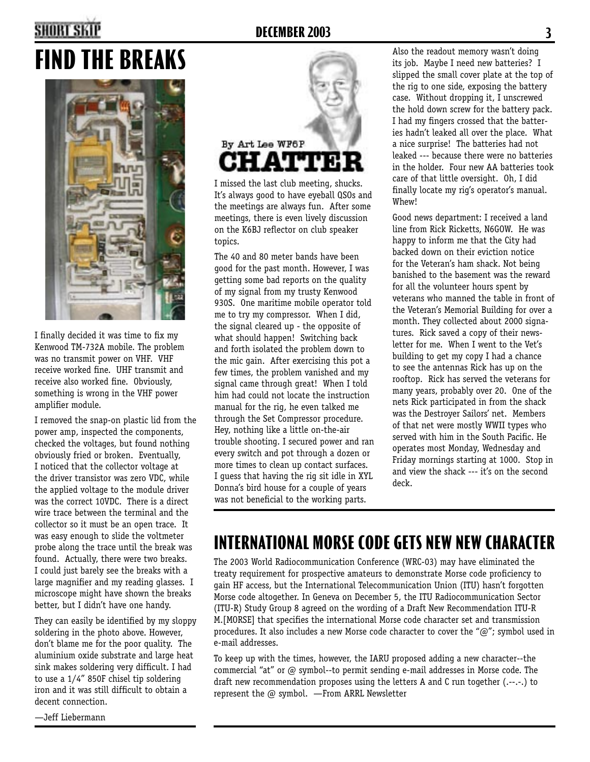### **2 DECEMBER 2003 3**

## **FIND THE BREAKS**



I finally decided it was time to fix my Kenwood TM-732A mobile. The problem was no transmit power on VHF. VHF receive worked fine. UHF transmit and receive also worked fine. Obviously, something is wrong in the VHF power amplifier module.

I removed the snap-on plastic lid from the power amp, inspected the components, checked the voltages, but found nothing obviously fried or broken. Eventually, I noticed that the collector voltage at the driver transistor was zero VDC, while the applied voltage to the module driver was the correct 10VDC. There is a direct wire trace between the terminal and the collector so it must be an open trace. It was easy enough to slide the voltmeter probe along the trace until the break was found. Actually, there were two breaks. I could just barely see the breaks with a large magnifier and my reading glasses. I microscope might have shown the breaks better, but I didn't have one handy.

They can easily be identified by my sloppy soldering in the photo above. However, don't blame me for the poor quality. The aluminium oxide substrate and large heat sink makes soldering very difficult. I had to use a 1/4" 850F chisel tip soldering iron and it was still difficult to obtain a decent connection.



I missed the last club meeting, shucks. It's always good to have eyeball QSOs and the meetings are always fun. After some meetings, there is even lively discussion on the K6BJ reflector on club speaker topics.

The 40 and 80 meter bands have been good for the past month. However, I was getting some bad reports on the quality of my signal from my trusty Kenwood 930S. One maritime mobile operator told me to try my compressor. When I did, the signal cleared up - the opposite of what should happen! Switching back and forth isolated the problem down to the mic gain. After exercising this pot a few times, the problem vanished and my signal came through great! When I told him had could not locate the instruction manual for the rig, he even talked me through the Set Compressor procedure. Hey, nothing like a little on-the-air trouble shooting. I secured power and ran every switch and pot through a dozen or more times to clean up contact surfaces. I guess that having the rig sit idle in XYL Donna's bird house for a couple of years was not beneficial to the working parts.

Also the readout memory wasn't doing its job. Maybe I need new batteries? I slipped the small cover plate at the top of the rig to one side, exposing the battery case. Without dropping it, I unscrewed the hold down screw for the battery pack. I had my fingers crossed that the batteries hadn't leaked all over the place. What a nice surprise! The batteries had not leaked --- because there were no batteries in the holder. Four new AA batteries took care of that little oversight. Oh, I did finally locate my rig's operator's manual. Whew!

Good news department: I received a land line from Rick Ricketts, N6GOW. He was happy to inform me that the City had backed down on their eviction notice for the Veteran's ham shack. Not being banished to the basement was the reward for all the volunteer hours spent by veterans who manned the table in front of the Veteran's Memorial Building for over a month. They collected about 2000 signatures. Rick saved a copy of their newsletter for me. When I went to the Vet's building to get my copy I had a chance to see the antennas Rick has up on the rooftop. Rick has served the veterans for many years, probably over 20. One of the nets Rick participated in from the shack was the Destroyer Sailors' net. Members of that net were mostly WWII types who served with him in the South Pacific. He operates most Monday, Wednesday and Friday mornings starting at 1000. Stop in and view the shack --- it's on the second deck.

## **INTERNATIONAL MORSE CODE GETS NEW NEW CHARACTER**

The 2003 World Radiocommunication Conference (WRC-03) may have eliminated the treaty requirement for prospective amateurs to demonstrate Morse code proficiency to gain HF access, but the International Telecommunication Union (ITU) hasn't forgotten Morse code altogether. In Geneva on December 5, the ITU Radiocommunication Sector (ITU-R) Study Group 8 agreed on the wording of a Draft New Recommendation ITU-R M.[MORSE] that specifies the international Morse code character set and transmission procedures. It also includes a new Morse code character to cover the " $@$ "; symbol used in e-mail addresses.

To keep up with the times, however, the IARU proposed adding a new character--the commercial "at" or @ symbol--to permit sending e-mail addresses in Morse code. The draft new recommendation proposes using the letters A and C run together (.--.-.) to represent the @ symbol. —From ARRL Newsletter

—Jeff Liebermann